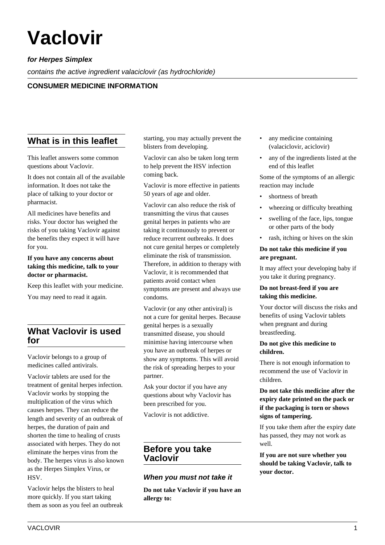# **Vaclovir**

# **for Herpes Simplex**

contains the active ingredient valaciclovir (as hydrochloride)

# **CONSUMER MEDICINE INFORMATION**

# **What is in this leaflet**

This leaflet answers some common questions about Vaclovir.

It does not contain all of the available information. It does not take the place of talking to your doctor or pharmacist.

All medicines have benefits and risks. Your doctor has weighed the risks of you taking Vaclovir against the benefits they expect it will have for you.

**If you have any concerns about taking this medicine, talk to your doctor or pharmacist.**

Keep this leaflet with your medicine.

You may need to read it again.

# **What Vaclovir is used for**

Vaclovir belongs to a group of medicines called antivirals.

Vaclovir tablets are used for the treatment of genital herpes infection. Vaclovir works by stopping the multiplication of the virus which causes herpes. They can reduce the length and severity of an outbreak of herpes, the duration of pain and shorten the time to healing of crusts associated with herpes. They do not eliminate the herpes virus from the body. The herpes virus is also known as the Herpes Simplex Virus, or HSV.

Vaclovir helps the blisters to heal more quickly. If you start taking them as soon as you feel an outbreak starting, you may actually prevent the blisters from developing.

Vaclovir can also be taken long term to help prevent the HSV infection coming back.

Vaclovir is more effective in patients 50 years of age and older.

Vaclovir can also reduce the risk of transmitting the virus that causes genital herpes in patients who are taking it continuously to prevent or reduce recurrent outbreaks. It does not cure genital herpes or completely eliminate the risk of transmission. Therefore, in addition to therapy with Vaclovir, it is recommended that patients avoid contact when symptoms are present and always use condoms.

Vaclovir (or any other antiviral) is not a cure for genital herpes. Because genital herpes is a sexually transmitted disease, you should minimise having intercourse when you have an outbreak of herpes or show any symptoms. This will avoid the risk of spreading herpes to your partner.

Ask your doctor if you have any questions about why Vaclovir has been prescribed for you.

Vaclovir is not addictive.

# **Before you take Vaclovir**

# **When you must not take it**

**Do not take Vaclovir if you have an allergy to:**

- any medicine containing (valaciclovir, aciclovir)
- any of the ingredients listed at the end of this leaflet

Some of the symptoms of an allergic reaction may include

- shortness of breath
- wheezing or difficulty breathing
- swelling of the face, lips, tongue or other parts of the body
- rash, itching or hives on the skin

#### **Do not take this medicine if you are pregnant.**

It may affect your developing baby if you take it during pregnancy.

#### **Do not breast-feed if you are taking this medicine.**

Your doctor will discuss the risks and benefits of using Vaclovir tablets when pregnant and during breastfeeding.

#### **Do not give this medicine to children.**

There is not enough information to recommend the use of Vaclovir in children.

## **Do not take this medicine after the expiry date printed on the pack or if the packaging is torn or shows signs of tampering.**

If you take them after the expiry date has passed, they may not work as well.

**If you are not sure whether you should be taking Vaclovir, talk to your doctor.**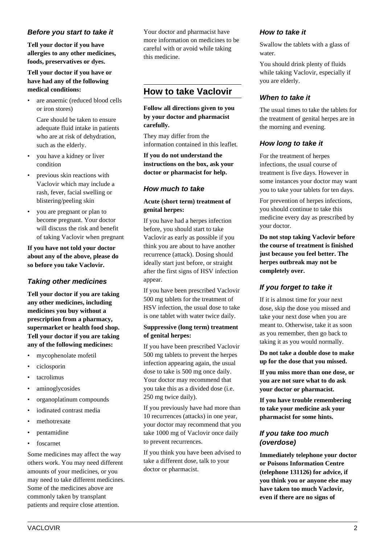## **Before you start to take it**

**Tell your doctor if you have allergies to any other medicines, foods, preservatives or dyes.**

## **Tell your doctor if you have or have had any of the following medical conditions:**

• are anaemic (reduced blood cells or iron stores)

 Care should be taken to ensure adequate fluid intake in patients who are at risk of dehydration, such as the elderly.

- you have a kidney or liver condition
- previous skin reactions with Vaclovir which may include a rash, fever, facial swelling or blistering/peeling skin
- you are pregnant or plan to become pregnant. Your doctor will discuss the risk and benefit of taking Vaclovir when pregnant

**If you have not told your doctor about any of the above, please do so before you take Vaclovir.**

# **Taking other medicines**

**Tell your doctor if you are taking any other medicines, including medicines you buy without a prescription from a pharmacy, supermarket or health food shop. Tell your doctor if you are taking any of the following medicines:**

- mycophenolate mofetil
- ciclosporin
- tacrolimus
- aminoglycosides
- organoplatinum compounds
- iodinated contrast media
- methotrexate
- pentamidine
- foscarnet

Some medicines may affect the way others work. You may need different amounts of your medicines, or you may need to take different medicines. Some of the medicines above are commonly taken by transplant patients and require close attention.

Your doctor and pharmacist have more information on medicines to be careful with or avoid while taking this medicine.

# **How to take Vaclovir**

#### **Follow all directions given to you by your doctor and pharmacist carefully.**

They may differ from the information contained in this leaflet.

**If you do not understand the instructions on the box, ask your doctor or pharmacist for help.**

# **How much to take**

#### **Acute (short term) treatment of genital herpes:**

If you have had a herpes infection before, you should start to take Vaclovir as early as possible if you think you are about to have another recurrence (attack). Dosing should ideally start just before, or straight after the first signs of HSV infection appear.

If you have been prescribed Vaclovir 500 mg tablets for the treatment of HSV infection, the usual dose to take is one tablet with water twice daily.

#### **Suppressive (long term) treatment of genital herpes:**

If you have been prescribed Vaclovir 500 mg tablets to prevent the herpes infection appearing again, the usual dose to take is 500 mg once daily. Your doctor may recommend that you take this as a divided dose (i.e. 250 mg twice daily).

If you previously have had more than 10 recurrences (attacks) in one year, your doctor may recommend that you take 1000 mg of Vaclovir once daily to prevent recurrences.

If you think you have been advised to take a different dose, talk to your doctor or pharmacist.

# **How to take it**

Swallow the tablets with a glass of water.

You should drink plenty of fluids while taking Vaclovir, especially if you are elderly.

# **When to take it**

The usual times to take the tablets for the treatment of genital herpes are in the morning and evening.

# **How long to take it**

For the treatment of herpes infections, the usual course of treatment is five days. However in some instances your doctor may want you to take your tablets for ten days.

For prevention of herpes infections, you should continue to take this medicine every day as prescribed by your doctor.

**Do not stop taking Vaclovir before the course of treatment is finished just because you feel better. The herpes outbreak may not be completely over.**

# **If you forget to take it**

If it is almost time for your next dose, skip the dose you missed and take your next dose when you are meant to. Otherwise, take it as soon as you remember, then go back to taking it as you would normally.

**Do not take a double dose to make up for the dose that you missed.**

**If you miss more than one dose, or you are not sure what to do ask your doctor or pharmacist.**

**If you have trouble remembering to take your medicine ask your pharmacist for some hints.**

# **If you take too much (overdose)**

**Immediately telephone your doctor or Poisons Information Centre (telephone 131126) for advice, if you think you or anyone else may have taken too much Vaclovir, even if there are no signs of**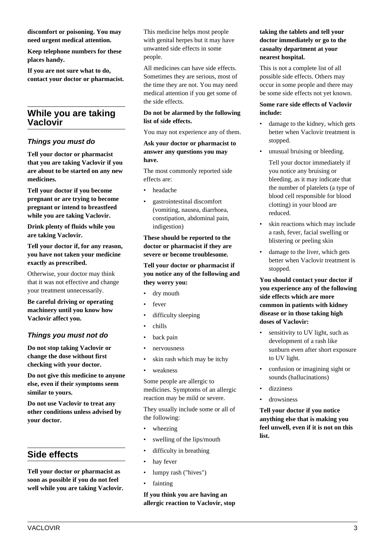**discomfort or poisoning. You may need urgent medical attention.**

**Keep telephone numbers for these places handy.**

**If you are not sure what to do, contact your doctor or pharmacist.**

# **While you are taking Vaclovir**

# **Things you must do**

**Tell your doctor or pharmacist that you are taking Vaclovir if you are about to be started on any new medicines.**

**Tell your doctor if you become pregnant or are trying to become pregnant or intend to breastfeed while you are taking Vaclovir.**

**Drink plenty of fluids while you are taking Vaclovir.**

**Tell your doctor if, for any reason, you have not taken your medicine exactly as prescribed.**

Otherwise, your doctor may think that it was not effective and change your treatment unnecessarily.

**Be careful driving or operating machinery until you know how Vaclovir affect you.**

# **Things you must not do**

**Do not stop taking Vaclovir or change the dose without first checking with your doctor.**

**Do not give this medicine to anyone else, even if their symptoms seem similar to yours.**

**Do not use Vaclovir to treat any other conditions unless advised by your doctor.**

# **Side effects**

**Tell your doctor or pharmacist as soon as possible if you do not feel well while you are taking Vaclovir.** This medicine helps most people with genital herpes but it may have unwanted side effects in some people.

All medicines can have side effects. Sometimes they are serious, most of the time they are not. You may need medical attention if you get some of the side effects.

#### **Do not be alarmed by the following list of side effects.**

You may not experience any of them.

**Ask your doctor or pharmacist to answer any questions you may have.**

The most commonly reported side effects are:

- headache
- gastrointestinal discomfort (vomiting, nausea, diarrhoea, constipation, abdominal pain, indigestion)

**These should be reported to the doctor or pharmacist if they are severe or become troublesome.**

#### **Tell your doctor or pharmacist if you notice any of the following and they worry you:**

- dry mouth
- fever
- difficulty sleeping
- chills
- back pain
- nervousness
- skin rash which may be itchy
- weakness

Some people are allergic to medicines. Symptoms of an allergic reaction may be mild or severe.

They usually include some or all of the following:

- wheezing
- swelling of the lips/mouth
- difficulty in breathing
- hay fever
- lumpy rash ("hives")
- **fainting**

**If you think you are having an allergic reaction to Vaclovir, stop**

# **taking the tablets and tell your doctor immediately or go to the casualty department at your nearest hospital.**

This is not a complete list of all possible side effects. Others may occur in some people and there may be some side effects not yet known.

## **Some rare side effects of Vaclovir include:**

- damage to the kidney, which gets better when Vaclovir treatment is stopped.
- unusual bruising or bleeding.
	- Tell your doctor immediately if you notice any bruising or bleeding, as it may indicate that the number of platelets (a type of blood cell responsible for blood clotting) in your blood are reduced.
- skin reactions which may include a rash, fever, facial swelling or blistering or peeling skin
- damage to the liver, which gets better when Vaclovir treatment is stopped.

**You should contact your doctor if you experience any of the following side effects which are more common in patients with kidney disease or in those taking high doses of Vaclovir:**

- sensitivity to UV light, such as development of a rash like sunburn even after short exposure to UV light.
- confusion or imagining sight or sounds (hallucinations)
- dizziness
- drowsiness

**Tell your doctor if you notice anything else that is making you feel unwell, even if it is not on this list.**